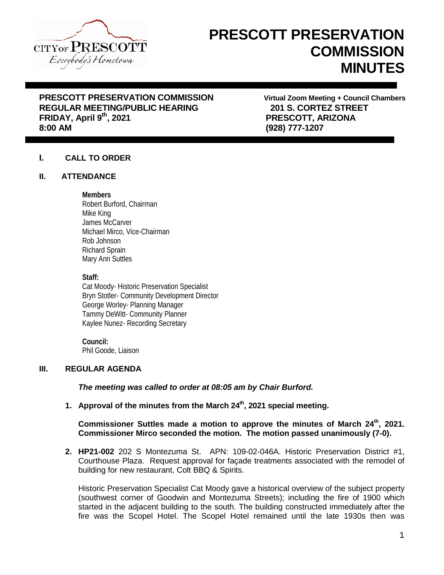

# **PRESCOTT PRESERVATION COMMISSION MINUTES**

# **PRESCOTT PRESERVATION COMMISSION Virtual Zoom Meeting + Council Chambers REGULAR MEETING/PUBLIC HEARING 201 S. CORTEZ STREET FRIDAY, April 9th, 2021 PRESCOTT, ARIZONA**

**8:00 AM (928) 777-1207**

# **I. CALL TO ORDER**

# **II. ATTENDANCE**

# **Members**

Robert Burford, Chairman Mike King James McCarver Michael Mirco, Vice-Chairman Rob Johnson Richard Sprain Mary Ann Suttles

#### **Staff:**

Cat Moody- Historic Preservation Specialist Bryn Stotler- Community Development Director George Worley- Planning Manager Tammy DeWitt- Community Planner Kaylee Nunez- Recording Secretary

#### **Council:** Phil Goode, Liaison

# **III. REGULAR AGENDA**

*The meeting was called to order at 08:05 am by Chair Burford.*

**1. Approval of the minutes from the March 24th, 2021 special meeting.**

# **Commissioner Suttles made a motion to approve the minutes of March 24<sup>th</sup>, 2021. Commissioner Mirco seconded the motion. The motion passed unanimously (7-0).**

**2. HP21-002** 202 S Montezuma St. APN: 109-02-046A. Historic Preservation District #1, Courthouse Plaza. Request approval for façade treatments associated with the remodel of building for new restaurant, Colt BBQ & Spirits.

Historic Preservation Specialist Cat Moody gave a historical overview of the subject property (southwest corner of Goodwin and Montezuma Streets); including the fire of 1900 which started in the adjacent building to the south. The building constructed immediately after the fire was the Scopel Hotel. The Scopel Hotel remained until the late 1930s then was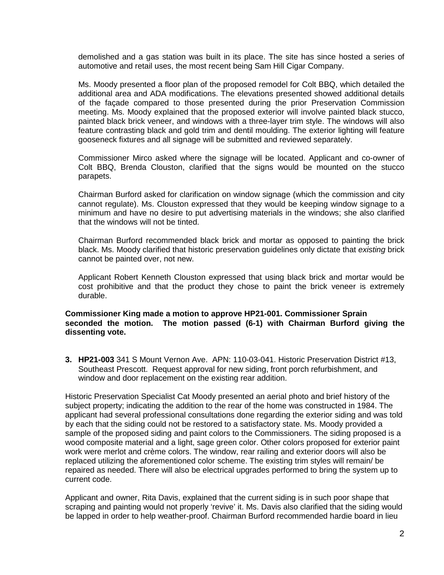demolished and a gas station was built in its place. The site has since hosted a series of automotive and retail uses, the most recent being Sam Hill Cigar Company.

Ms. Moody presented a floor plan of the proposed remodel for Colt BBQ, which detailed the additional area and ADA modifications. The elevations presented showed additional details of the façade compared to those presented during the prior Preservation Commission meeting. Ms. Moody explained that the proposed exterior will involve painted black stucco, painted black brick veneer, and windows with a three-layer trim style. The windows will also feature contrasting black and gold trim and dentil moulding. The exterior lighting will feature gooseneck fixtures and all signage will be submitted and reviewed separately.

Commissioner Mirco asked where the signage will be located. Applicant and co-owner of Colt BBQ, Brenda Clouston, clarified that the signs would be mounted on the stucco parapets.

Chairman Burford asked for clarification on window signage (which the commission and city cannot regulate). Ms. Clouston expressed that they would be keeping window signage to a minimum and have no desire to put advertising materials in the windows; she also clarified that the windows will not be tinted.

Chairman Burford recommended black brick and mortar as opposed to painting the brick black. Ms. Moody clarified that historic preservation guidelines only dictate that *existing* brick cannot be painted over, not new.

Applicant Robert Kenneth Clouston expressed that using black brick and mortar would be cost prohibitive and that the product they chose to paint the brick veneer is extremely durable.

## **Commissioner King made a motion to approve HP21-001. Commissioner Sprain seconded the motion. The motion passed (6-1) with Chairman Burford giving the dissenting vote.**

**3. HP21-003** 341 S Mount Vernon Ave. APN: 110-03-041. Historic Preservation District #13, Southeast Prescott. Request approval for new siding, front porch refurbishment, and window and door replacement on the existing rear addition.

Historic Preservation Specialist Cat Moody presented an aerial photo and brief history of the subject property; indicating the addition to the rear of the home was constructed in 1984. The applicant had several professional consultations done regarding the exterior siding and was told by each that the siding could not be restored to a satisfactory state. Ms. Moody provided a sample of the proposed siding and paint colors to the Commissioners. The siding proposed is a wood composite material and a light, sage green color. Other colors proposed for exterior paint work were merlot and crème colors. The window, rear railing and exterior doors will also be replaced utilizing the aforementioned color scheme. The existing trim styles will remain/ be repaired as needed. There will also be electrical upgrades performed to bring the system up to current code.

Applicant and owner, Rita Davis, explained that the current siding is in such poor shape that scraping and painting would not properly 'revive' it. Ms. Davis also clarified that the siding would be lapped in order to help weather-proof. Chairman Burford recommended hardie board in lieu